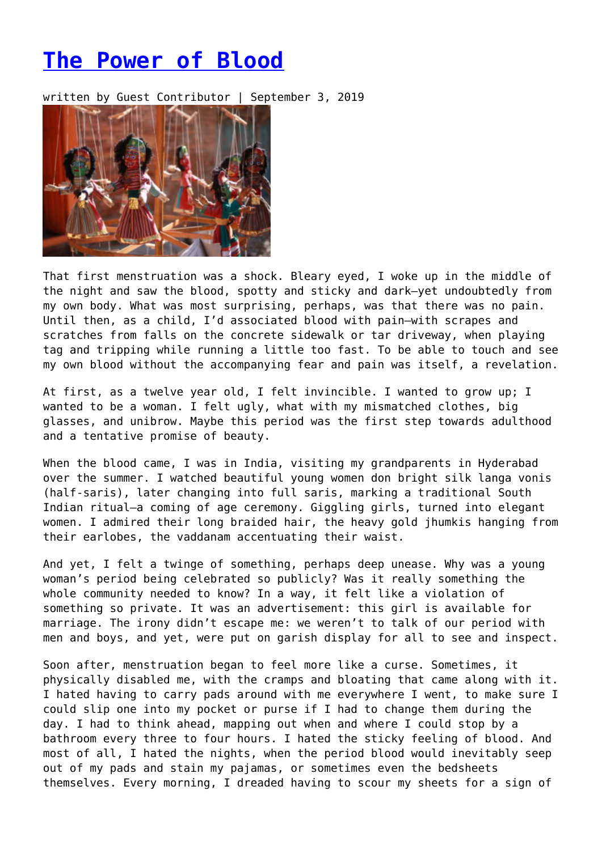## **[The Power of Blood](https://entropymag.org/the-power-of-blood/)**

written by Guest Contributor | September 3, 2019



That first menstruation was a shock. Bleary eyed, I woke up in the middle of the night and saw the blood, spotty and sticky and dark—yet undoubtedly from my own body. What was most surprising, perhaps, was that there was no pain. Until then, as a child, I'd associated blood with pain—with scrapes and scratches from falls on the concrete sidewalk or tar driveway, when playing tag and tripping while running a little too fast. To be able to touch and see my own blood without the accompanying fear and pain was itself, a revelation.

At first, as a twelve year old, I felt invincible. I wanted to grow up; I wanted to be a woman. I felt ugly, what with my mismatched clothes, big glasses, and unibrow. Maybe this period was the first step towards adulthood and a tentative promise of beauty.

When the blood came, I was in India, visiting my grandparents in Hyderabad over the summer. I watched beautiful young women don bright silk langa vonis (half-saris), later changing into full saris, marking a traditional South Indian ritual—a coming of age ceremony. Giggling girls, turned into elegant women. I admired their long braided hair, the heavy gold jhumkis hanging from their earlobes, the vaddanam accentuating their waist.

And yet, I felt a twinge of something, perhaps deep unease. Why was a young woman's period being celebrated so publicly? Was it really something the whole community needed to know? In a way, it felt like a violation of something so private. It was an advertisement: this girl is available for marriage. The irony didn't escape me: we weren't to talk of our period with men and boys, and yet, were put on garish display for all to see and inspect.

Soon after, menstruation began to feel more like a curse. Sometimes, it physically disabled me, with the cramps and bloating that came along with it. I hated having to carry pads around with me everywhere I went, to make sure I could slip one into my pocket or purse if I had to change them during the day. I had to think ahead, mapping out when and where I could stop by a bathroom every three to four hours. I hated the sticky feeling of blood. And most of all, I hated the nights, when the period blood would inevitably seep out of my pads and stain my pajamas, or sometimes even the bedsheets themselves. Every morning, I dreaded having to scour my sheets for a sign of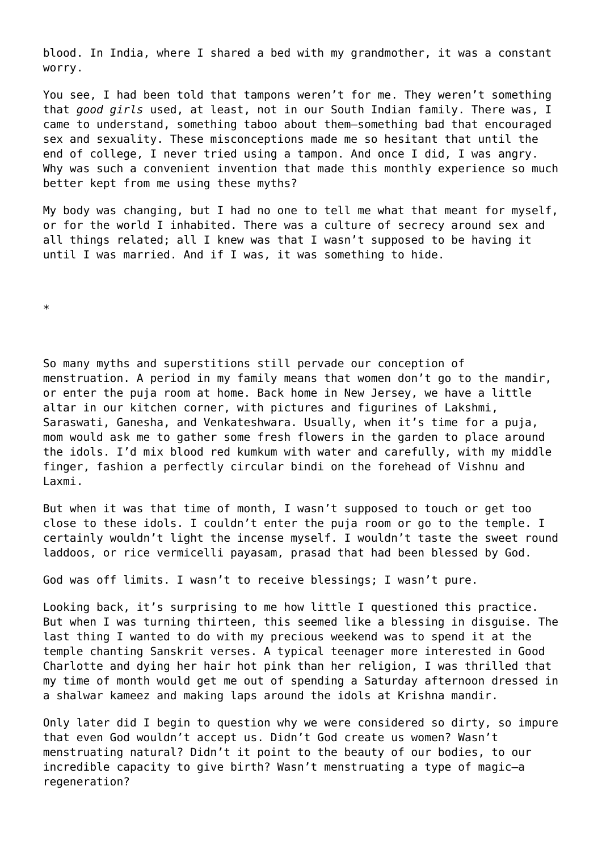blood. In India, where I shared a bed with my grandmother, it was a constant worry.

You see, I had been told that tampons weren't for me. They weren't something that *good girls* used, at least, not in our South Indian family. There was, I came to understand, something taboo about them—something bad that encouraged sex and sexuality. These misconceptions made me so hesitant that until the end of college, I never tried using a tampon. And once I did, I was angry. Why was such a convenient invention that made this monthly experience so much better kept from me using these myths?

My body was changing, but I had no one to tell me what that meant for myself, or for the world I inhabited. There was a culture of secrecy around sex and all things related; all I knew was that I wasn't supposed to be having it until I was married. And if I was, it was something to hide.

\*

So many myths and superstitions still pervade our conception of menstruation. A period in my family means that women don't go to the mandir, or enter the puja room at home. Back home in New Jersey, we have a little altar in our kitchen corner, with pictures and figurines of Lakshmi, Saraswati, Ganesha, and Venkateshwara. Usually, when it's time for a puja, mom would ask me to gather some fresh flowers in the garden to place around the idols. I'd mix blood red kumkum with water and carefully, with my middle finger, fashion a perfectly circular bindi on the forehead of Vishnu and Laxmi.

But when it was that time of month, I wasn't supposed to touch or get too close to these idols. I couldn't enter the puja room or go to the temple. I certainly wouldn't light the incense myself. I wouldn't taste the sweet round laddoos, or rice vermicelli payasam, prasad that had been blessed by God.

God was off limits. I wasn't to receive blessings; I wasn't pure.

Looking back, it's surprising to me how little I questioned this practice. But when I was turning thirteen, this seemed like a blessing in disguise. The last thing I wanted to do with my precious weekend was to spend it at the temple chanting Sanskrit verses. A typical teenager more interested in Good Charlotte and dying her hair hot pink than her religion, I was thrilled that my time of month would get me out of spending a Saturday afternoon dressed in a shalwar kameez and making laps around the idols at Krishna mandir.

Only later did I begin to question why we were considered so dirty, so impure that even God wouldn't accept us. Didn't God create us women? Wasn't menstruating natural? Didn't it point to the beauty of our bodies, to our incredible capacity to give birth? Wasn't menstruating a type of magic—a regeneration?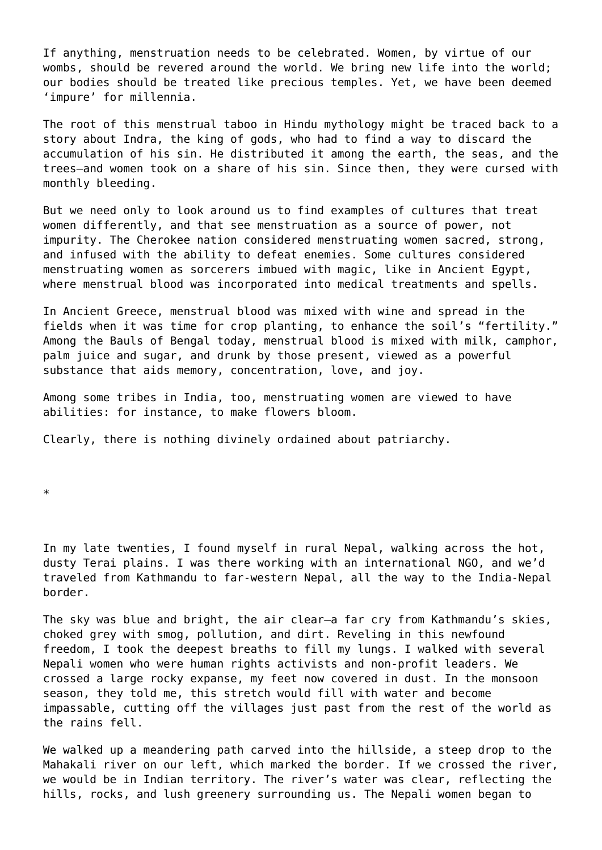If anything, menstruation needs to be celebrated. Women, by virtue of our wombs, should be revered around the world. We bring new life into the world; our bodies should be treated like precious temples. Yet, we have been deemed 'impure' for millennia.

The root of this menstrual taboo in Hindu mythology might be traced back to a story about Indra, the king of gods, who had to find a way to discard the accumulation of his sin. He distributed it among the earth, the seas, and the trees—and women took on a share of his sin. Since then, they were cursed with monthly bleeding.

But we need only to look around us to find examples of cultures that treat women differently, and that see menstruation as a source of power, not impurity. The Cherokee nation considered menstruating women sacred, strong, and infused with the ability to defeat enemies. Some cultures considered menstruating women as sorcerers imbued with magic, like in Ancient Egypt, where menstrual blood was incorporated into medical treatments and spells.

In Ancient Greece, menstrual blood was mixed with wine and spread in the fields when it was time for crop planting, to enhance the soil's "fertility." Among the Bauls of Bengal today, menstrual blood is mixed with milk, camphor, palm juice and sugar, and drunk by those present, viewed as a powerful substance that aids memory, concentration, love, and joy.

Among some tribes in India, too, menstruating women are viewed to have abilities: for instance, to make flowers bloom.

Clearly, there is nothing divinely ordained about patriarchy.

\*

In my late twenties, I found myself in rural Nepal, walking across the hot, dusty Terai plains. I was there working with an international NGO, and we'd traveled from Kathmandu to far-western Nepal, all the way to the India-Nepal border.

The sky was blue and bright, the air clear—a far cry from Kathmandu's skies, choked grey with smog, pollution, and dirt. Reveling in this newfound freedom, I took the deepest breaths to fill my lungs. I walked with several Nepali women who were human rights activists and non-profit leaders. We crossed a large rocky expanse, my feet now covered in dust. In the monsoon season, they told me, this stretch would fill with water and become impassable, cutting off the villages just past from the rest of the world as the rains fell.

We walked up a meandering path carved into the hillside, a steep drop to the Mahakali river on our left, which marked the border. If we crossed the river, we would be in Indian territory. The river's water was clear, reflecting the hills, rocks, and lush greenery surrounding us. The Nepali women began to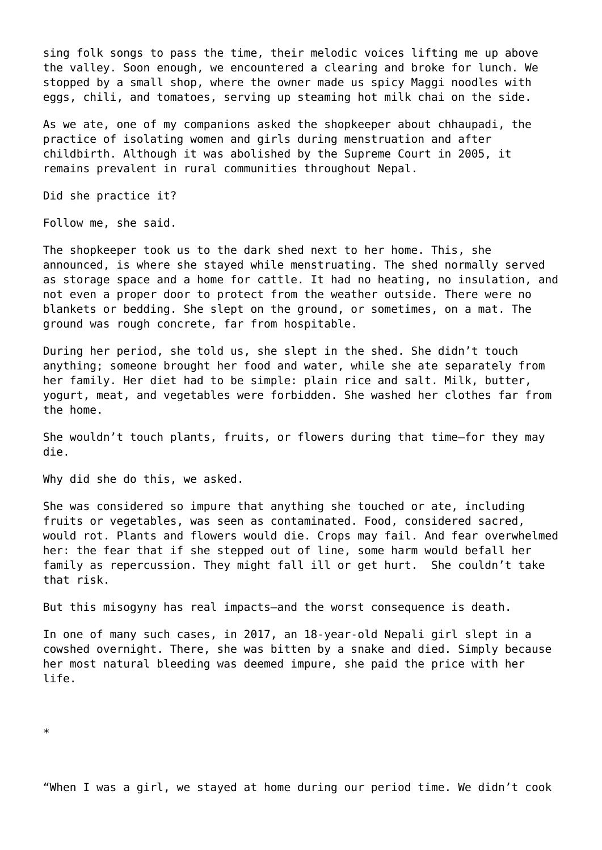sing folk songs to pass the time, their melodic voices lifting me up above the valley. Soon enough, we encountered a clearing and broke for lunch. We stopped by a small shop, where the owner made us spicy Maggi noodles with eggs, chili, and tomatoes, serving up steaming hot milk chai on the side.

As we ate, one of my companions asked the shopkeeper about chhaupadi, the practice of isolating women and girls during menstruation and after childbirth. Although it was abolished by the Supreme Court in 2005, it remains prevalent in rural communities throughout Nepal.

Did she practice it?

Follow me, she said.

The shopkeeper took us to the dark shed next to her home. This, she announced, is where she stayed while menstruating. The shed normally served as storage space and a home for cattle. It had no heating, no insulation, and not even a proper door to protect from the weather outside. There were no blankets or bedding. She slept on the ground, or sometimes, on a mat. The ground was rough concrete, far from hospitable.

During her period, she told us, she slept in the shed. She didn't touch anything; someone brought her food and water, while she ate separately from her family. Her diet had to be simple: plain rice and salt. Milk, butter, yogurt, meat, and vegetables were forbidden. She washed her clothes far from the home.

She wouldn't touch plants, fruits, or flowers during that time—for they may die.

Why did she do this, we asked.

She was considered so impure that anything she touched or ate, including fruits or vegetables, was seen as contaminated. Food, considered sacred, would rot. Plants and flowers would die. Crops may fail. And fear overwhelmed her: the fear that if she stepped out of line, some harm would befall her family as repercussion. They might fall ill or get hurt. She couldn't take that risk.

But this misogyny has real impacts—and the worst consequence is death.

In one of many such cases, in 2017, an 18-year-old Nepali girl slept in a cowshed overnight. There, she was bitten by a snake and died. Simply because her most natural bleeding was deemed impure, she paid the price with her life.

"When I was a girl, we stayed at home during our period time. We didn't cook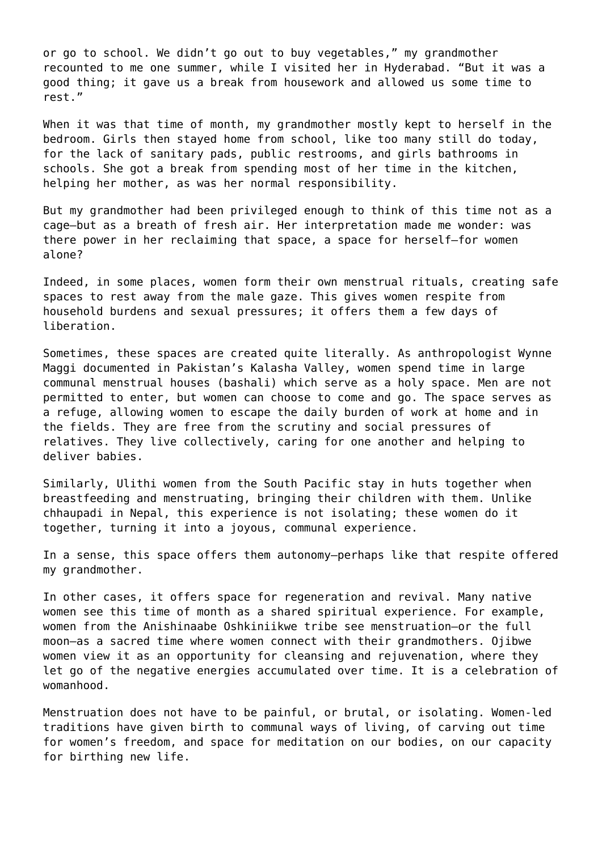or go to school. We didn't go out to buy vegetables," my grandmother recounted to me one summer, while I visited her in Hyderabad. "But it was a good thing; it gave us a break from housework and allowed us some time to rest."

When it was that time of month, my grandmother mostly kept to herself in the bedroom. Girls then stayed home from school, like too many still do today, for the lack of sanitary pads, public restrooms, and girls bathrooms in schools. She got a break from spending most of her time in the kitchen, helping her mother, as was her normal responsibility.

But my grandmother had been privileged enough to think of this time not as a cage—but as a breath of fresh air. Her interpretation made me wonder: was there power in her reclaiming that space, a space for herself—for women alone?

Indeed, in some places, women form their own menstrual rituals, creating safe spaces to rest away from the male gaze. This gives women respite from household burdens and sexual pressures; it offers them a few days of liberation.

Sometimes, these spaces are created quite literally. As anthropologist Wynne Maggi documented in Pakistan's Kalasha Valley, women spend time in large communal menstrual houses (bashali) which serve as a holy space. Men are not permitted to enter, but women can choose to come and go. The space serves as a refuge, allowing women to escape the daily burden of work at home and in the fields. They are free from the scrutiny and social pressures of relatives. They live collectively, caring for one another and helping to deliver babies.

Similarly, Ulithi women from the South Pacific stay in huts together when breastfeeding and menstruating, bringing their children with them. Unlike chhaupadi in Nepal, this experience is not isolating; these women do it together, turning it into a joyous, communal experience.

In a sense, this space offers them autonomy—perhaps like that respite offered my grandmother.

In other cases, it offers space for regeneration and revival. Many native women see this time of month as a shared spiritual experience. For example, women from the Anishinaabe Oshkiniikwe tribe see menstruation—or the full moon—as a sacred time where women connect with their grandmothers. Ojibwe women view it as an opportunity for cleansing and rejuvenation, where they let go of the negative energies accumulated over time. It is a celebration of womanhood.

Menstruation does not have to be painful, or brutal, or isolating. Women-led traditions have given birth to communal ways of living, of carving out time for women's freedom, and space for meditation on our bodies, on our capacity for birthing new life.